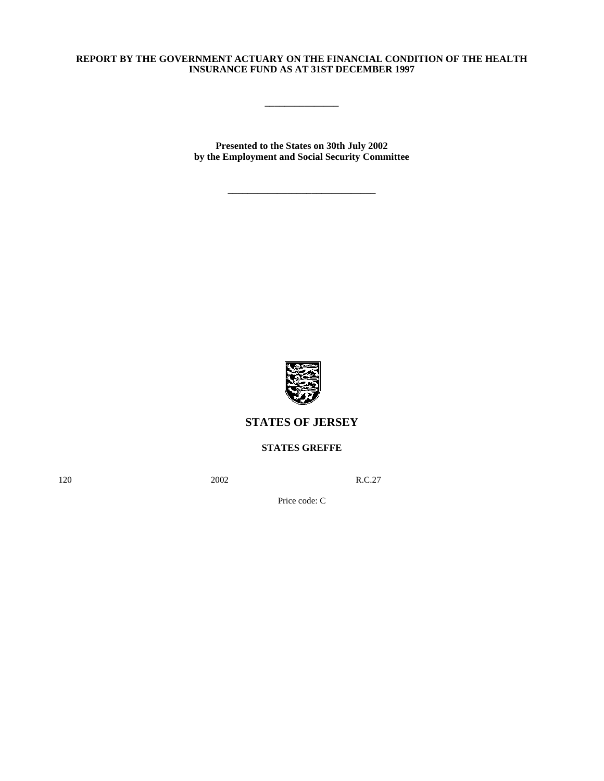# **REPORT BY THE GOVERNMENT ACTUARY ON THE FINANCIAL CONDITION OF THE HEALTH INSURANCE FUND AS AT 31ST DECEMBER 1997**

**\_\_\_\_\_\_\_\_\_\_\_\_\_\_\_**

**Presented to the States on 30th July 2002 by the Employment and Social Security Committee**

**\_\_\_\_\_\_\_\_\_\_\_\_\_\_\_\_\_\_\_\_\_\_\_\_\_\_\_\_\_\_**



# **STATES OF JERSEY**

**STATES GREFFE**

120 **2002** R.C.27

Price code: C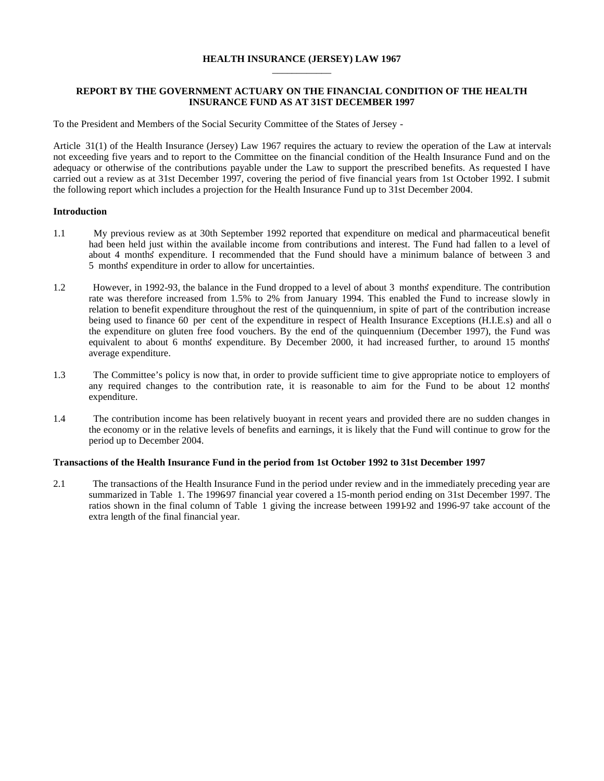#### **HEALTH INSURANCE (JERSEY) LAW 1967** \_\_\_\_\_\_\_\_\_\_\_\_

## **REPORT BY THE GOVERNMENT ACTUARY ON THE FINANCIAL CONDITION OF THE HEALTH INSURANCE FUND AS AT 31ST DECEMBER 1997**

To the President and Members of the Social Security Committee of the States of Jersey -

Article 31(1) of the Health Insurance (Jersey) Law 1967 requires the actuary to review the operation of the Law at intervals not exceeding five years and to report to the Committee on the financial condition of the Health Insurance Fund and on the adequacy or otherwise of the contributions payable under the Law to support the prescribed benefits. As requested I have carried out a review as at 31st December 1997, covering the period of five financial years from 1st October 1992. I submit the following report which includes a projection for the Health Insurance Fund up to 31st December 2004.

## **Introduction**

- 1.1 My previous review as at 30th September 1992 reported that expenditure on medical and pharmaceutical benefit had been held just within the available income from contributions and interest. The Fund had fallen to a level of about 4 months' expenditure. I recommended that the Fund should have a minimum balance of between 3 and 5 months' expenditure in order to allow for uncertainties.
- 1.2 However, in 1992-93, the balance in the Fund dropped to a level of about 3 months' expenditure. The contribution rate was therefore increased from 1.5% to 2% from January 1994. This enabled the Fund to increase slowly in relation to benefit expenditure throughout the rest of the quinquennium, in spite of part of the contribution increase being used to finance 60 per cent of the expenditure in respect of Health Insurance Exceptions (H.I.E.s) and all o the expenditure on gluten free food vouchers. By the end of the quinquennium (December 1997), the Fund was equivalent to about 6 months' expenditure. By December 2000, it had increased further, to around 15 months' average expenditure.
- 1.3 The Committee's policy is now that, in order to provide sufficient time to give appropriate notice to employers of any required changes to the contribution rate, it is reasonable to aim for the Fund to be about 12 months' expenditure.
- 1.4 The contribution income has been relatively buoyant in recent years and provided there are no sudden changes in the economy or in the relative levels of benefits and earnings, it is likely that the Fund will continue to grow for the period up to December 2004.

#### **Transactions of the Health Insurance Fund in the period from 1st October 1992 to 31st December 1997**

2.1 The transactions of the Health Insurance Fund in the period under review and in the immediately preceding year are summarized in Table 1. The 199697 financial year covered a 15-month period ending on 31st December 1997. The ratios shown in the final column of Table 1 giving the increase between 1991-92 and 1996-97 take account of the extra length of the final financial year.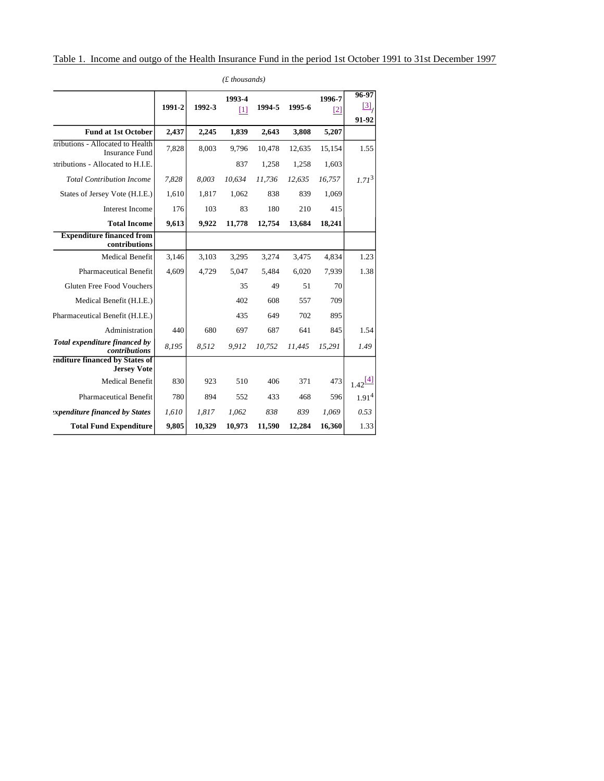|                                                           |        |        | 1993-4 |        |        | 1996-7 | 96-97                  |
|-----------------------------------------------------------|--------|--------|--------|--------|--------|--------|------------------------|
|                                                           | 1991-2 | 1992-3 | $[1]$  | 1994-5 | 1995-6 | [2]    | $\frac{[3]}{]}$        |
|                                                           |        |        |        |        |        |        | 91-92                  |
| <b>Fund at 1st October</b>                                | 2,437  | 2,245  | 1,839  | 2,643  | 3,808  | 5,207  |                        |
| tributions - Allocated to Health<br><b>Insurance Fund</b> | 7,828  | 8,003  | 9,796  | 10,478 | 12,635 | 15,154 | 1.55                   |
| atributions - Allocated to H.I.E.                         |        |        | 837    | 1,258  | 1,258  | 1,603  |                        |
| <b>Total Contribution Income</b>                          | 7,828  | 8,003  | 10,634 | 11,736 | 12,635 | 16,757 | $1.71^{3}$             |
| States of Jersey Vote (H.I.E.)                            | 1,610  | 1,817  | 1,062  | 838    | 839    | 1,069  |                        |
| <b>Interest Income</b>                                    | 176    | 103    | 83     | 180    | 210    | 415    |                        |
| <b>Total Income</b>                                       | 9,613  | 9,922  | 11,778 | 12,754 | 13,684 | 18,241 |                        |
| <b>Expenditure financed from</b><br>contributions         |        |        |        |        |        |        |                        |
| <b>Medical Benefit</b>                                    | 3,146  | 3,103  | 3,295  | 3,274  | 3,475  | 4,834  | 1.23                   |
| <b>Pharmaceutical Benefit</b>                             | 4,609  | 4,729  | 5,047  | 5,484  | 6,020  | 7,939  | 1.38                   |
| Gluten Free Food Vouchers                                 |        |        | 35     | 49     | 51     | 70     |                        |
| Medical Benefit (H.I.E.)                                  |        |        | 402    | 608    | 557    | 709    |                        |
| Pharmaceutical Benefit (H.I.E.)                           |        |        | 435    | 649    | 702    | 895    |                        |
| Administration                                            | 440    | 680    | 697    | 687    | 641    | 845    | 1.54                   |
| Total expenditure financed by<br>contributions            | 8,195  | 8,512  | 9.912  | 10,752 | 11.445 | 15,291 | 1.49                   |
| enditure financed by States of<br><b>Jersey Vote</b>      |        |        |        |        |        |        |                        |
| <b>Medical Benefit</b>                                    | 830    | 923    | 510    | 406    | 371    | 473    | $1.42 \frac{[4]}{[4]}$ |
| <b>Pharmaceutical Benefit</b>                             | 780    | 894    | 552    | 433    | 468    | 596    | 1.91 <sup>4</sup>      |
| <i>xpenditure financed by States</i>                      | 1,610  | 1,817  | 1.062  | 838    | 839    | 1,069  | 0.53                   |
| <b>Total Fund Expenditure</b>                             | 9,805  | 10,329 | 10,973 | 11,590 | 12,284 | 16,360 | 1.33                   |

*(£ thousands)*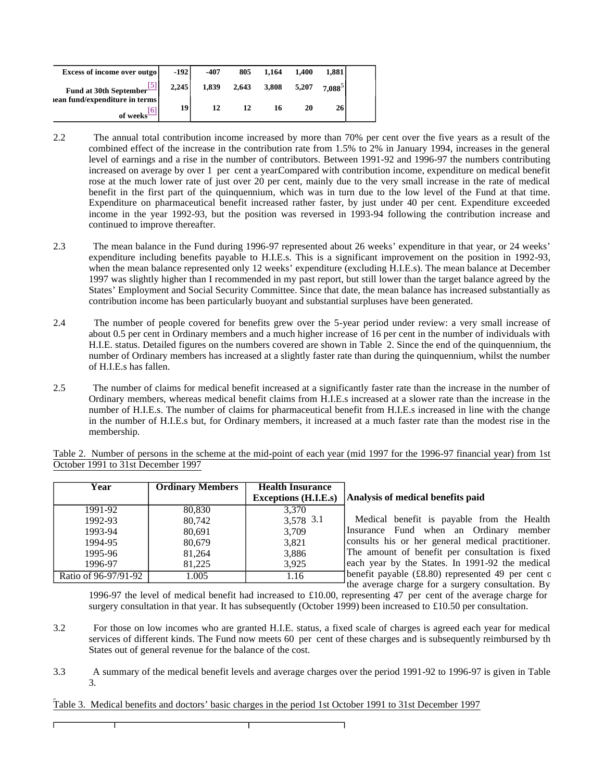| Excess of income over outgo    | $-192$ | -407  | 805   | 1.164 | 1.400 | 1.881     |  |
|--------------------------------|--------|-------|-------|-------|-------|-----------|--|
| Fund at 30th September         | 2,245  | 1.839 | 2,643 | 3,808 | 5.207 | $7.088^5$ |  |
| lean fund/expenditure in terms | 19     |       |       |       | 20    | 26        |  |
| of weeks'                      |        |       |       |       |       |           |  |

- 2.2 The annual total contribution income increased by more than 70% per cent over the five years as a result of the combined effect of the increase in the contribution rate from 1.5% to 2% in January 1994, increases in the general level of earnings and a rise in the number of contributors. Between 1991-92 and 1996-97 the numbers contributing increased on average by over 1 per cent a year.Compared with contribution income, expenditure on medical benefit rose at the much lower rate of just over 20 per cent, mainly due to the very small increase in the rate of medical benefit in the first part of the quinquennium, which was in turn due to the low level of the Fund at that time. Expenditure on pharmaceutical benefit increased rather faster, by just under 40 per cent. Expenditure exceeded income in the year 1992-93, but the position was reversed in 1993-94 following the contribution increase and continued to improve thereafter.
- 2.3 The mean balance in the Fund during 1996-97 represented about 26 weeks' expenditure in that year, or 24 weeks' expenditure including benefits payable to H.I.E.s. This is a significant improvement on the position in 1992-93, when the mean balance represented only 12 weeks' expenditure (excluding H.I.E.s). The mean balance at December 1997 was slightly higher than I recommended in my past report, but still lower than the target balance agreed by the States' Employment and Social Security Committee. Since that date, the mean balance has increased substantially as contribution income has been particularly buoyant and substantial surpluses have been generated.
- 2.4 The number of people covered for benefits grew over the 5-year period under review: a very small increase of about 0.5 per cent in Ordinary members and a much higher increase of 16 per cent in the number of individuals with H.I.E. status. Detailed figures on the numbers covered are shown in Table 2. Since the end of the quinquennium, the number of Ordinary members has increased at a slightly faster rate than during the quinquennium, whilst the number of H.I.E.s has fallen.
- 2.5 The number of claims for medical benefit increased at a significantly faster rate than the increase in the number of Ordinary members, whereas medical benefit claims from H.I.E.s increased at a slower rate than the increase in the number of H.I.E.s. The number of claims for pharmaceutical benefit from H.I.E.s increased in line with the change in the number of H.I.E.s but, for Ordinary members, it increased at a much faster rate than the modest rise in the membership.

Table 2. Number of persons in the scheme at the mid-point of each year (mid 1997 for the 1996-97 financial year) from 1st October 1991 to 31st December 1997

| Year                 | <b>Ordinary Members</b> | <b>Health Insurance</b>     |                                                                  |
|----------------------|-------------------------|-----------------------------|------------------------------------------------------------------|
|                      |                         | <b>Exceptions (H.I.E.s)</b> | Analysis of medical benefits paid                                |
| 1991-92              | 80.830                  | 3.370                       |                                                                  |
| 1992-93              | 80.742                  | 3,578 3.1                   | Medical benefit is payable from the Health                       |
| 1993-94              | 80.691                  | 3,709                       | Insurance Fund when an Ordinary member                           |
| 1994-95              | 80.679                  | 3.821                       | consults his or her general medical practitioner.                |
| 1995-96              | 81.264                  | 3,886                       | The amount of benefit per consultation is fixed                  |
| 1996-97              | 81.225                  | 3.925                       | each year by the States. In 1991-92 the medical                  |
| Ratio of 96-97/91-92 | 1.005                   | 1.16                        | benefit payable $(\text{\pounds}8.80)$ represented 49 per cent c |
|                      |                         |                             | the average charge for a surgery consultation. By                |

1996-97 the level of medical benefit had increased to £10.00, representing 47 per cent of the average charge for surgery consultation in that year. It has subsequently (October 1999) been increased to £10.50 per consultation.

- 3.2 For those on low incomes who are granted H.I.E. status, a fixed scale of charges is agreed each year for medical services of different kinds. The Fund now meets 60 per cent of these charges and is subsequently reimbursed by th States out of general revenue for the balance of the cost.
- 3.3 A summary of the medical benefit levels and average charges over the period 1991-92 to 1996-97 is given in Table 3.

#### Table 3. Medical benefits and doctors' basic charges in the period 1st October 1991 to 31st December 1997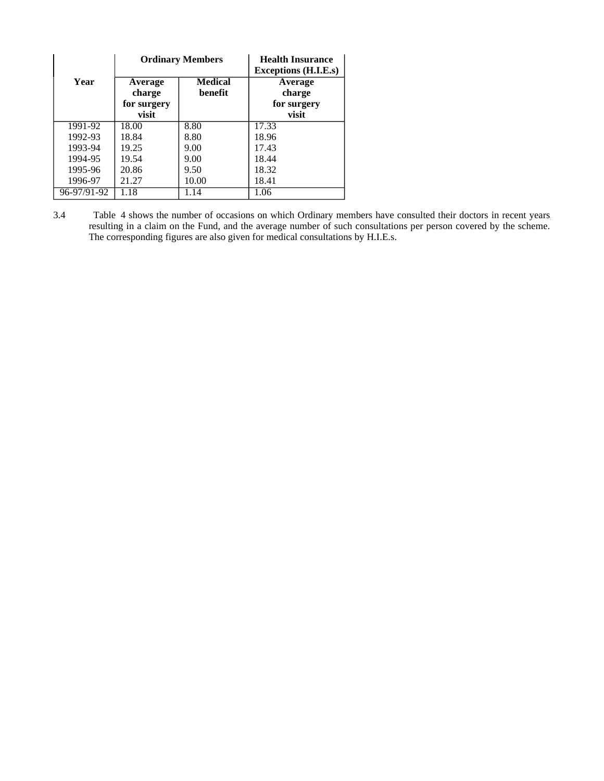|             |                      | <b>Ordinary Members</b>   | <b>Health Insurance</b><br>Exceptions (H.I.E.s) |
|-------------|----------------------|---------------------------|-------------------------------------------------|
| Year        | Average<br>charge    | <b>Medical</b><br>benefit | Average<br>charge                               |
|             | for surgery<br>visit |                           | for surgery<br>visit                            |
| 1991-92     | 18.00                | 8.80                      | 17.33                                           |
| 1992-93     | 18.84                | 8.80                      | 18.96                                           |
| 1993-94     | 19.25                | 9.00                      | 17.43                                           |
| 1994-95     | 19.54                | 9.00                      | 18.44                                           |
| 1995-96     | 20.86                | 9.50                      | 18.32                                           |
| 1996-97     | 21.27                | 10.00                     | 18.41                                           |
| 96-97/91-92 | 1.18                 | l.14                      | 1.06                                            |

3.4 Table 4 shows the number of occasions on which Ordinary members have consulted their doctors in recent years, resulting in a claim on the Fund, and the average number of such consultations per person covered by the scheme. The corresponding figures are also given for medical consultations by H.I.E.s.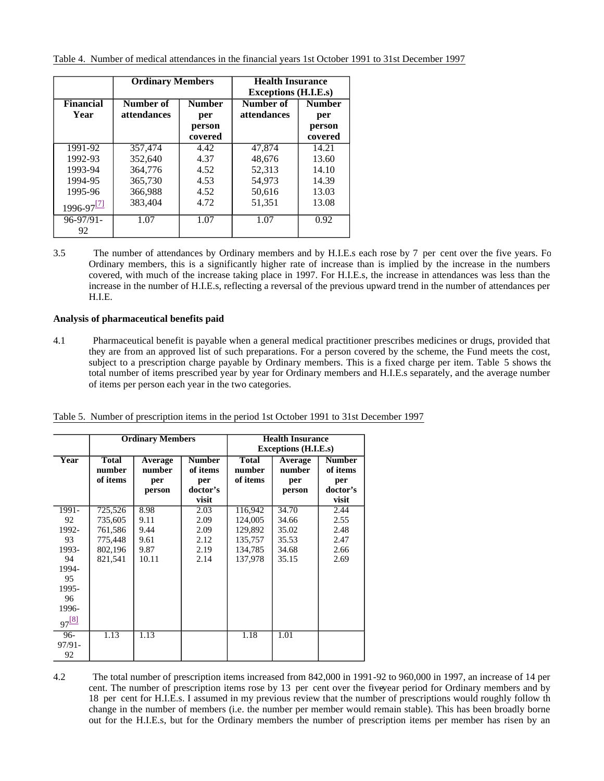|                          | <b>Ordinary Members</b>         |                                           | <b>Health Insurance</b><br><b>Exceptions (H.I.E.s)</b> |                                           |
|--------------------------|---------------------------------|-------------------------------------------|--------------------------------------------------------|-------------------------------------------|
| <b>Financial</b><br>Year | Number of<br><i>attendances</i> | <b>Number</b><br>per<br>person<br>covered | Number of<br><i>attendances</i>                        | <b>Number</b><br>per<br>person<br>covered |
| 1991-92                  | 357,474                         | 4.42                                      | 47,874                                                 | 14.21                                     |
| 1992-93                  | 352.640                         | 4.37                                      | 48.676                                                 | 13.60                                     |
| 1993-94                  | 364,776                         | 4.52                                      | 52.313                                                 | 14.10                                     |
| 1994-95                  | 365,730                         | 4.53                                      | 54,973                                                 | 14.39                                     |
| 1995-96                  | 366,988                         | 4.52                                      | 50,616                                                 | 13.03                                     |
| $1996-97$ <sup>[7]</sup> | 383.404                         | 4.72                                      | 51.351                                                 | 13.08                                     |
| $96 - 97/91 -$           | 1.07                            | 1.07                                      | 1.07                                                   | 0.92                                      |
| 92                       |                                 |                                           |                                                        |                                           |

3.5 The number of attendances by Ordinary members and by H.I.E.s each rose by 7 per cent over the five years. For Ordinary members, this is a significantly higher rate of increase than is implied by the increase in the numbers covered, with much of the increase taking place in 1997. For H.I.E.s, the increase in attendances was less than the increase in the number of H.I.E.s, reflecting a reversal of the previous upward trend in the number of attendances per H.I.E.

# **Analysis of pharmaceutical benefits paid**

4.1 Pharmaceutical benefit is payable when a general medical practitioner prescribes medicines or drugs, provided that they are from an approved list of such preparations. For a person covered by the scheme, the Fund meets the cost, subject to a prescription charge payable by Ordinary members. This is a fixed charge per item. Table 5 shows the total number of items prescribed year by year for Ordinary members and H.I.E.s separately, and the average number of items per person each year in the two categories.

|                                                                                               |                                                                | <b>Ordinary Members</b>                       |                                                       | <b>Health Insurance</b><br><b>Exceptions (H.I.E.s)</b>         |                                                    |                                                       |  |  |
|-----------------------------------------------------------------------------------------------|----------------------------------------------------------------|-----------------------------------------------|-------------------------------------------------------|----------------------------------------------------------------|----------------------------------------------------|-------------------------------------------------------|--|--|
| Year                                                                                          | <b>Total</b><br>number<br>of items                             | Average<br>number<br>per<br>person            | <b>Number</b><br>of items<br>per<br>doctor's<br>visit | <b>Total</b><br>number<br>of items                             | Average<br>number<br>per<br>person                 | <b>Number</b><br>of items<br>per<br>doctor's<br>visit |  |  |
| 1991-<br>92<br>1992-<br>93<br>1993-<br>94<br>1994-<br>95<br>1995-<br>96<br>1996-<br>$97^{81}$ | 725,526<br>735,605<br>761,586<br>775,448<br>802,196<br>821,541 | 8.98<br>9.11<br>9.44<br>9.61<br>9.87<br>10.11 | 2.03<br>2.09<br>2.09<br>2.12<br>2.19<br>2.14          | 116,942<br>124,005<br>129,892<br>135,757<br>134,785<br>137,978 | 34.70<br>34.66<br>35.02<br>35.53<br>34.68<br>35.15 | 2.44<br>2.55<br>2.48<br>2.47<br>2.66<br>2.69          |  |  |
| $96-$<br>$97/91 -$<br>92                                                                      | 1.13                                                           | 1.13                                          |                                                       | 1.18                                                           | 1.01                                               |                                                       |  |  |

Table 5. Number of prescription items in the period 1st October 1991 to 31st December 1997

4.2 The total number of prescription items increased from 842,000 in 1991-92 to 960,000 in 1997, an increase of 14 per cent. The number of prescription items rose by 13 per cent over the fiveyear period for Ordinary members and by 18 per cent for H.I.E.s. I assumed in my previous review that the number of prescriptions would roughly follow th change in the number of members (i.e. the number per member would remain stable). This has been broadly borne out for the H.I.E.s, but for the Ordinary members the number of prescription items per member has risen by an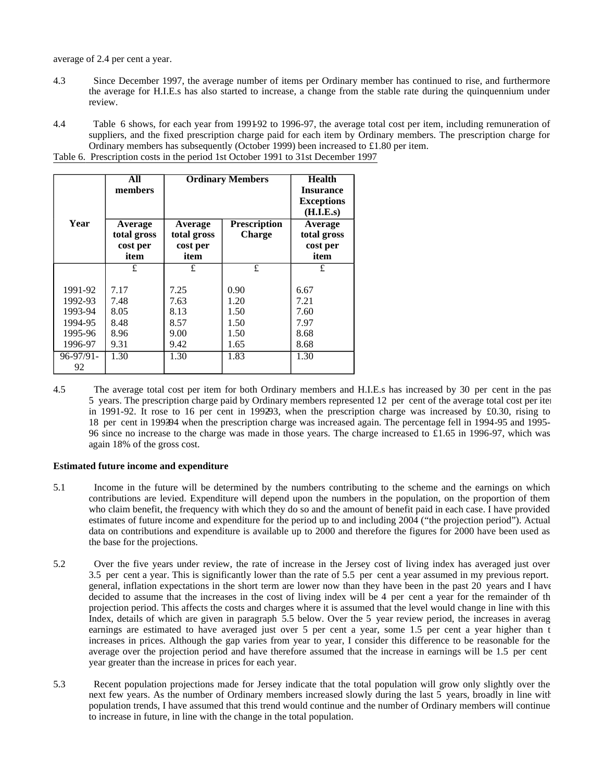average of 2.4 per cent a year.

- 4.3 Since December 1997, the average number of items per Ordinary member has continued to rise, and furthermore the average for H.I.E.s has also started to increase, a change from the stable rate during the quinquennium under review.
- 4.4 Table 6 shows, for each year from 1991-92 to 1996-97, the average total cost per item, including remuneration of suppliers, and the fixed prescription charge paid for each item by Ordinary members. The prescription charge for Ordinary members has subsequently (October 1999) been increased to £1.80 per item. Table 6. Prescription costs in the period 1st October 1991 to 31st December 1997

|                    | All<br>members         | <b>Ordinary Members</b> | <b>Health</b><br><b>Insurance</b><br><b>Exceptions</b><br>(H.I.E.s) |                        |  |          |
|--------------------|------------------------|-------------------------|---------------------------------------------------------------------|------------------------|--|----------|
| Year               | Average<br>total gross | Average<br>total gross  | <b>Prescription</b><br><b>Charge</b>                                | Average<br>total gross |  |          |
|                    | cost per               | cost per                |                                                                     |                        |  | cost per |
|                    | item                   | item                    |                                                                     | item                   |  |          |
|                    | £                      | £                       | £                                                                   | £                      |  |          |
|                    | 7.17                   |                         |                                                                     |                        |  |          |
| 1991-92<br>1992-93 | 7.48                   | 7.25<br>7.63            | 0.90<br>1.20                                                        | 6.67<br>7.21           |  |          |
| 1993-94            | 8.05                   | 8.13                    | 1.50                                                                | 7.60                   |  |          |
| 1994-95            | 8.48                   | 8.57                    | 1.50                                                                | 7.97                   |  |          |
| 1995-96            | 8.96                   | 9.00                    | 1.50                                                                | 8.68                   |  |          |
| 1996-97            | 9.31                   | 9.42                    | 1.65                                                                | 8.68                   |  |          |
| $96 - 97/91 -$     | 1.30                   | 1.30                    | 1.83                                                                | 1.30                   |  |          |
| 92                 |                        |                         |                                                                     |                        |  |          |

4.5 The average total cost per item for both Ordinary members and H.I.E.s has increased by 30 per cent in the past 5 years. The prescription charge paid by Ordinary members represented 12 per cent of the average total cost per item in 1991-92. It rose to 16 per cent in 1992-93, when the prescription charge was increased by £0.30, rising to 18 per cent in 1993-94 when the prescription charge was increased again. The percentage fell in 1994-95 and 1995- 96 since no increase to the charge was made in those years. The charge increased to £1.65 in 1996-97, which was again 18% of the gross cost.

#### **Estimated future income and expenditure**

- 5.1 Income in the future will be determined by the numbers contributing to the scheme and the earnings on which contributions are levied. Expenditure will depend upon the numbers in the population, on the proportion of them who claim benefit, the frequency with which they do so and the amount of benefit paid in each case. I have provided estimates of future income and expenditure for the period up to and including 2004 ("the projection period"). Actual data on contributions and expenditure is available up to 2000 and therefore the figures for 2000 have been used as the base for the projections.
- 5.2 Over the five years under review, the rate of increase in the Jersey cost of living index has averaged just over 3.5 per cent a year. This is significantly lower than the rate of 5.5 per cent a year assumed in my previous report. In general, inflation expectations in the short term are lower now than they have been in the past 20 years and I have decided to assume that the increases in the cost of living index will be 4 per cent a year for the remainder of th projection period. This affects the costs and charges where it is assumed that the level would change in line with this Index, details of which are given in paragraph 5.5 below. Over the 5 year review period, the increases in averag earnings are estimated to have averaged just over 5 per cent a year, some 1.5 per cent a year higher than  $t$ increases in prices. Although the gap varies from year to year, I consider this difference to be reasonable for the average over the projection period and have therefore assumed that the increase in earnings will be 1.5 per cent year greater than the increase in prices for each year.
- 5.3 Recent population projections made for Jersey indicate that the total population will grow only slightly over the next few years. As the number of Ordinary members increased slowly during the last 5 years, broadly in line with population trends, I have assumed that this trend would continue and the number of Ordinary members will continue to increase in future, in line with the change in the total population.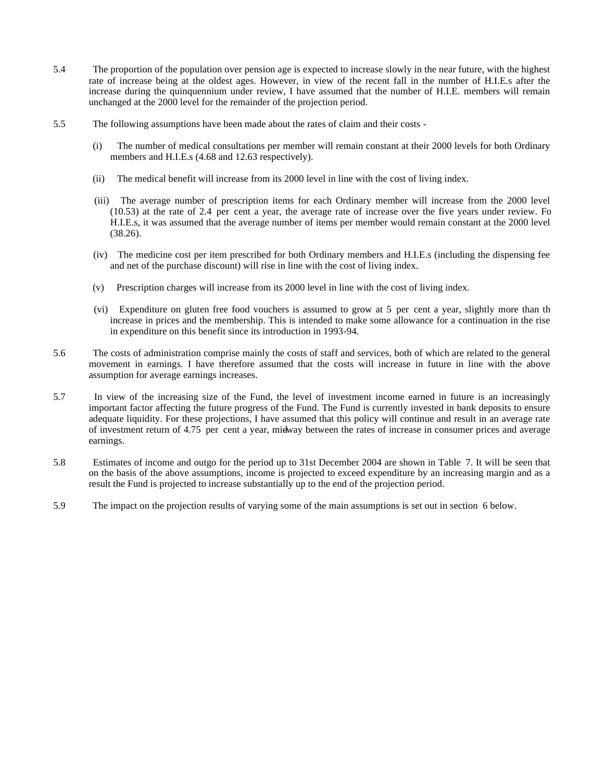- 5.4 The proportion of the population over pension age is expected to increase slowly in the near future, with the highest rate of increase being at the oldest ages. However, in view of the recent fall in the number of H.I.E.s after the increase during the quinquennium under review, I have assumed that the number of H.I.E. members will remain unchanged at the 2000 level for the remainder of the projection period.
- 5.5 The following assumptions have been made about the rates of claim and their costs
	- (i) The number of medical consultations per member will remain constant at their 2000 levels for both Ordinary members and H.I.E.s (4.68 and 12.63 respectively).
	- (ii) The medical benefit will increase from its 2000 level in line with the cost of living index.
	- (iii) The average number of prescription items for each Ordinary member will increase from the 2000 level (10.53) at the rate of 2.4 per cent a year, the average rate of increase over the five years under review. For H.I.E.s, it was assumed that the average number of items per member would remain constant at the 2000 level (38.26).
	- (iv) The medicine cost per item prescribed for both Ordinary members and H.I.E.s (including the dispensing fee and net of the purchase discount) will rise in line with the cost of living index.
	- (v) Prescription charges will increase from its 2000 level in line with the cost of living index.
	- (vi) Expenditure on gluten free food vouchers is assumed to grow at 5 per cent a year, slightly more than the increase in prices and the membership. This is intended to make some allowance for a continuation in the rise in expenditure on this benefit since its introduction in 1993-94.
- 5.6 The costs of administration comprise mainly the costs of staff and services, both of which are related to the general movement in earnings. I have therefore assumed that the costs will increase in future in line with the above assumption for average earnings increases.
- 5.7 In view of the increasing size of the Fund, the level of investment income earned in future is an increasingly important factor affecting the future progress of the Fund. The Fund is currently invested in bank deposits to ensure adequate liquidity. For these projections, I have assumed that this policy will continue and result in an average rate of investment return of 4.75 per cent a year, midway between the rates of increase in consumer prices and average earnings.
- 5.8 Estimates of income and outgo for the period up to 31st December 2004 are shown in Table 7. It will be seen that, on the basis of the above assumptions, income is projected to exceed expenditure by an increasing margin and as a result the Fund is projected to increase substantially up to the end of the projection period.
- 5.9 The impact on the projection results of varying some of the main assumptions is set out in section 6 below.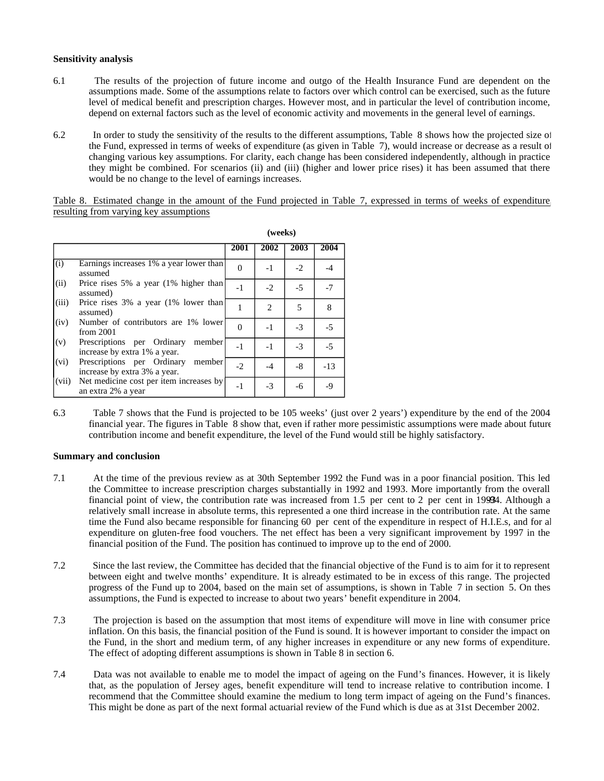#### **Sensitivity analysis**

- 6.1 The results of the projection of future income and outgo of the Health Insurance Fund are dependent on the assumptions made. Some of the assumptions relate to factors over which control can be exercised, such as the future level of medical benefit and prescription charges. However most, and in particular the level of contribution income, depend on external factors such as the level of economic activity and movements in the general level of earnings.
- 6.2 In order to study the sensitivity of the results to the different assumptions, Table 8 shows how the projected size of the Fund, expressed in terms of weeks of expenditure (as given in Table 7), would increase or decrease as a result of changing various key assumptions. For clarity, each change has been considered independently, although in practice they might be combined. For scenarios (ii) and (iii) (higher and lower price rises) it has been assumed that there would be no change to the level of earnings increases.

Table 8. Estimated change in the amount of the Fund projected in Table 7, expressed in terms of weeks of expenditure, resulting from varying key assumptions

|       |                                                                      |          | (weeks)                     |      |       |
|-------|----------------------------------------------------------------------|----------|-----------------------------|------|-------|
|       |                                                                      | 2001     | 2002                        | 2003 | 2004  |
| (i)   | Earnings increases 1% a year lower than<br>assumed                   | $\Omega$ | $-1$                        | $-2$ | $-4$  |
| (ii)  | Price rises 5% a year (1% higher than<br>assumed)                    | $-1$     | $-2$                        | $-5$ | $-7$  |
| (iii) | Price rises 3% a year (1% lower than<br>assumed)                     |          | $\mathcal{D}_{\mathcal{L}}$ | 5    | 8     |
| (iv)  | Number of contributors are 1% lower<br>from $2001$                   | $\Omega$ | $-1$                        | $-3$ | $-5$  |
| (v)   | Prescriptions per Ordinary<br>member<br>increase by extra 1% a year. | $-1$     | $-1$                        | $-3$ | $-5$  |
| (vi)  | Prescriptions per Ordinary<br>member<br>increase by extra 3% a year. | $-2$     | $-4$                        | $-8$ | $-13$ |
| (vii) | Net medicine cost per item increases by<br>an extra 2% a year        | $-1$     | $-3$                        | -6   | $-9$  |

6.3 Table 7 shows that the Fund is projected to be 105 weeks' (just over 2 years') expenditure by the end of the 2004 financial year. The figures in Table 8 show that, even if rather more pessimistic assumptions were made about future contribution income and benefit expenditure, the level of the Fund would still be highly satisfactory.

## **Summary and conclusion**

- 7.1 At the time of the previous review as at 30th September 1992 the Fund was in a poor financial position. This led the Committee to increase prescription charges substantially in 1992 and 1993. More importantly from the overall financial point of view, the contribution rate was increased from  $1.5$  per cent to  $2$  per cent in 19994. Although a relatively small increase in absolute terms, this represented a one third increase in the contribution rate. At the same time the Fund also became responsible for financing 60 per cent of the expenditure in respect of H.I.E.s, and for all expenditure on gluten-free food vouchers. The net effect has been a very significant improvement by 1997 in the financial position of the Fund. The position has continued to improve up to the end of 2000.
- 7.2 Since the last review, the Committee has decided that the financial objective of the Fund is to aim for it to represent between eight and twelve months' expenditure. It is already estimated to be in excess of this range. The projected progress of the Fund up to 2004, based on the main set of assumptions, is shown in Table 7 in section 5. On thes assumptions, the Fund is expected to increase to about two years' benefit expenditure in 2004.
- 7.3 The projection is based on the assumption that most items of expenditure will move in line with consumer price inflation. On this basis, the financial position of the Fund is sound. It is however important to consider the impact on the Fund, in the short and medium term, of any higher increases in expenditure or any new forms of expenditure. The effect of adopting different assumptions is shown in Table 8 in section 6.
- 7.4 Data was not available to enable me to model the impact of ageing on the Fund's finances. However, it is likely that, as the population of Jersey ages, benefit expenditure will tend to increase relative to contribution income. I recommend that the Committee should examine the medium to long term impact of ageing on the Fund's finances. This might be done as part of the next formal actuarial review of the Fund which is due as at 31st December 2002.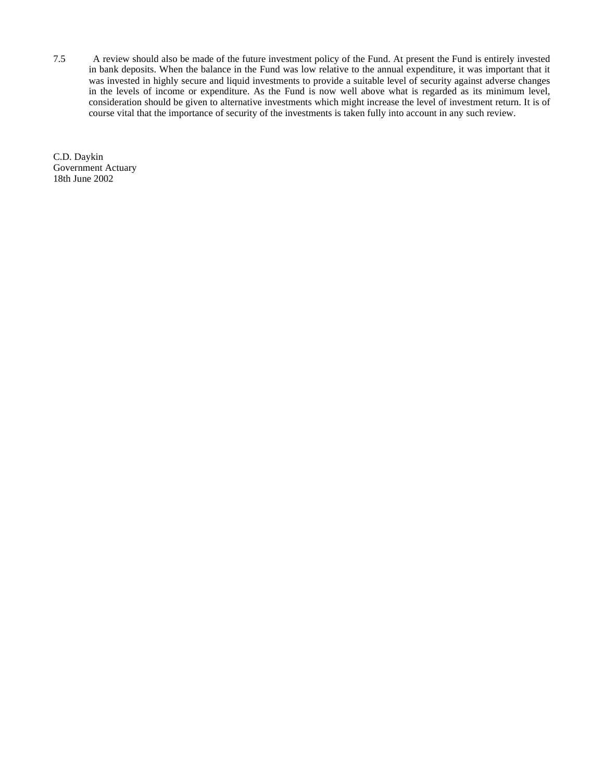7.5 A review should also be made of the future investment policy of the Fund. At present the Fund is entirely invested in bank deposits. When the balance in the Fund was low relative to the annual expenditure, it was important that it was invested in highly secure and liquid investments to provide a suitable level of security against adverse changes in the levels of income or expenditure. As the Fund is now well above what is regarded as its minimum level, consideration should be given to alternative investments which might increase the level of investment return. It is of course vital that the importance of security of the investments is taken fully into account in any such review.

C.D. Daykin Government Actuary 18th June 2002